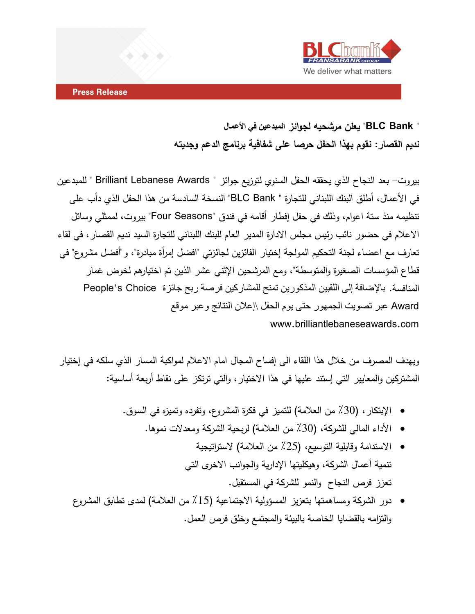

# **" Bank BLC "يعلن مرشحيه لجوائز المبدعين في األعمال نديم القصار: نقوم بهذا الحفل حرصا على شفافية برنامج الدعم وجديته**

بيروت- بعد النجاح الذي يحققه الحفل السنوي لتوزيع جوائز " Awards Lebanese Brilliant " للمبدعين في الأعمال، أطلق البنك اللبناني للتجارة " BLC Bank" النسخة السادسة من هذا الحفل الذي دأب على تنظيمه منذ ستة اعوام، وذلك في حفل إفطار أقامه في فندق "Seasons Four "بيروت، لممثلي وسائل االعالم في حضور نائب رئيس مجلس االدارة المدير العام للبنك اللبناني للتجارة السيد نديم القصار، في لقاء تعارف مع اعضاء لجنة التحكيم المولجة إختيار الفائزين لجائزتي "افضل إمرأة مبادرة"، و"أفضل مشروع" في قطاع المؤسسات الصغيرة والمتوسطة"، ومع المرشحين اإلثني عشر الذين تم اختيارهم لخوض غمار المنافسة. باإلضافة إلى اللقبين المذكورين تمنح للمشاركين فرصة ربح جائزة Choice s'People Award عبر تصويت الجمهور حتى يوم الحفل \إعالن النتائج وعبر موقع www.brilliantlebaneseawards.com

ويهدف المصرف من خالل هذا اللقاء الى إفساح المجال امام االعالم لمواكبة المسار الذي سلكه في إختيار المشتركين والمعايير التي إستند عليها في هذا االختيار، والتي ترتكز على نقاط أربعة أساسية:

- الإبتكار ، (30٪ من العلامة) للتميز في فكرة المشروع، وتفرده وتميزه في السوق.
	- األداء المالي للشركة، )٪03 من العالمة( لربحية الشركة ومعدالت نموها.
	- الاستدامة وقابلية التوسيع، (25٪ من العلامة) لاستراتيجية تنمية أعمال الشركة، وهيكليتها اإلدارية والجوانب االخرى التي تعزز فرص النجاح والنمو للشركة في المستقبل.
- دور الشركة ومساهمتها بتعزيز المسؤولية الاجتماعية (15٪ من العلامة) لمدى تطابق المشروع والتزامه بالقضايا الخاصة بالبيئة والمجتمع وخلق فرص العمل.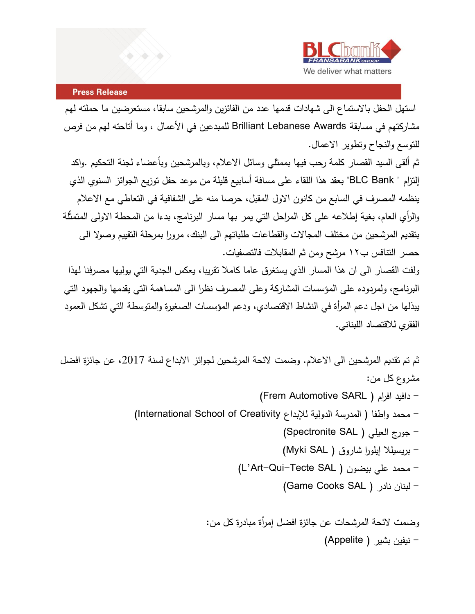

استهل الحفل باالستماع الى شهادات قدمها عدد من الفائزين والمرشحين سابقا، مستعرضين ما حملته لهم مشاركتهم في مسابقة Brilliant Lebanese Awards للمبدعين في الأعمال ، وما أتاحته لهم من فرص للتوسع والنجاح وتطوير االعمال.

ثم ألقى السيد القصار كلمة رحب فيها بممثلي وسائل االعالم، وبالمرشحين وبأعضاء لجنة التحكيم .واكد إلتزام " BLC Bank" بعقد هذا اللقاء على مسافة أسابيع قليلة من موعد حفل توزيع الجوائز السنوي الذي ينظمه المصرف في السابع من كانون الاول المقبل، حرصا منه على الشفافية في التعاطي مع الاعلام والرأي العام، بغية إطلاعه على كل المراحل التي يمر بها مسار البرنامج، بدءا من المحطة الاولى المتمثلة بتقديم المرشحين من مختلف المجاالت والقطاعات طلباتهم الى البنك، مرورا بمرحلة التقييم وصوال الى حصر التنافس ب٢١ مرشح ومن ثم المقابالت فالتصفيات.

و لفت القصار الى ان هذا المسار الذي يستغرق عاما كامال تقريبا، يعكس الجدية التي يوليها مصرفنا لهذا البرنامج، ولمردوده على المؤسسات المشاركة وعلى المصرف نظرا الى المساهمة التي يقدمها والجهود التي يبذلها من اجل دعم المرأة في النشاط االقتصادي، ودعم المؤسسات الصغيرة والمتوسطة التي تشكل العمود الفقري لالقتصاد اللبناني.

ثم تم تقديم المرشحين الى الاعلام. وضمت لائحة المرشحين لجوائز الابداع لسنة 2017، عن جائزة افضل مشروع كل من:

- )Frem Automotive SARL ( افرام دافيد -
- محمد واطفا ( المدرسة الدولية للإبداع International School of Creativity)
	- جورج العيلي ( Spectronite SAL)
	- بريسيللا إيلورا شاروق ( Myki SAL)
	- )L'Art-Qui-Tecte SAL ( بيضون علي محمد
		- )Game Cooks SAL ( نادر لبنان -

وضمت الئحة المرشحات عن جائزة افضل إمرأة مبادرة كل من: - نيفين بشير ) Appelite)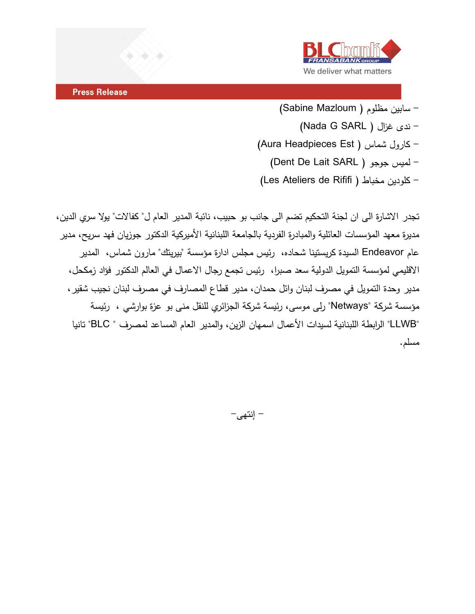

- سابين مظلوم ( Sabine Mazloum)
	- )Nada G SARL ( غزال ندى -
- )Aura Headpieces Est ( شماس كارول
	- )Dent De Lait SARL ( جوجو لميس -
- )Les Ateliers de Rififi ( مخباط كلودين -

تجدر الاشارة الى ان لجنة التحكيم تضم الى جانب بو حبيب، نائبة المدير العام ل" كفالات" يولا سري الدين، مديرة معهد المؤسسات العائلية والمبادرة الفردية بالجامعة اللبنانية األميركية الدكتور جوزيان فهد سريح، مدير عام Endeavor السيدة كريستينا شحاده، رئيس مجلس ادارة مؤسسة "بيريتك" مارون شماس، المدير االقليمي لمؤسسة التمويل الدولية سعد صبرا، رئيس تجمع رجال االعمال في العالم الدكتور فؤاد زمكحل، مدير وحدة التمويل في مصرف لبنان وائل حمدان، مدير قطاع المصارف في مصرف لبنان نجيب شقير، مؤسسة شركة "Netways "رلى موسى، رئيسة شركة الجزائري للنقل منى بو عزة بوارشي ، رئيسة "LLWB "الرابطة اللبنانية لسيدات األعمال اسمهان الزين، و المدير العام المساعد لمصرف " BLC "تانيا مسلم.

- إنتهى-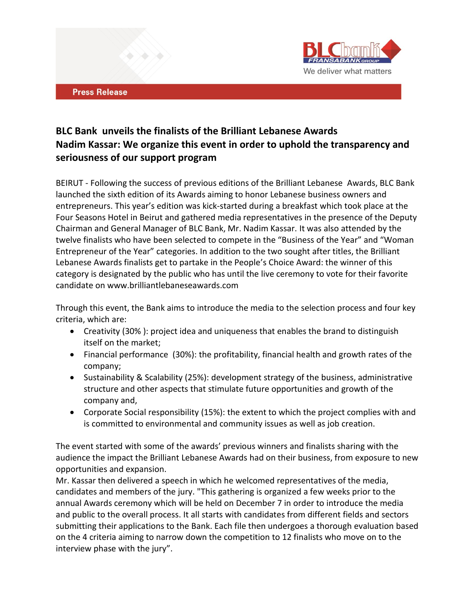

### **BLC Bank unveils the finalists of the Brilliant Lebanese Awards Nadim Kassar: We organize this event in order to uphold the transparency and seriousness of our support program**

BEIRUT - Following the success of previous editions of the Brilliant Lebanese Awards, BLC Bank launched the sixth edition of its Awards aiming to honor Lebanese business owners and entrepreneurs. This year's edition was kick-started during a breakfast which took place at the Four Seasons Hotel in Beirut and gathered media representatives in the presence of the Deputy Chairman and General Manager of BLC Bank, Mr. Nadim Kassar. It was also attended by the twelve finalists who have been selected to compete in the "Business of the Year" and "Woman Entrepreneur of the Year" categories. In addition to the two sought after titles, the Brilliant Lebanese Awards finalists get to partake in the People's Choice Award: the winner of this category is designated by the public who has until the live ceremony to vote for their favorite candidate on www.brilliantlebaneseawards.com

Through this event, the Bank aims to introduce the media to the selection process and four key criteria, which are:

- Creativity (30% ): project idea and uniqueness that enables the brand to distinguish itself on the market;
- Financial performance (30%): the profitability, financial health and growth rates of the company;
- Sustainability & Scalability (25%): development strategy of the business, administrative structure and other aspects that stimulate future opportunities and growth of the company and,
- Corporate Social responsibility (15%): the extent to which the project complies with and is committed to environmental and community issues as well as job creation.

The event started with some of the awards' previous winners and finalists sharing with the audience the impact the Brilliant Lebanese Awards had on their business, from exposure to new opportunities and expansion.

Mr. Kassar then delivered a speech in which he welcomed representatives of the media, candidates and members of the jury. "This gathering is organized a few weeks prior to the annual Awards ceremony which will be held on December 7 in order to introduce the media and public to the overall process. It all starts with candidates from different fields and sectors submitting their applications to the Bank. Each file then undergoes a thorough evaluation based on the 4 criteria aiming to narrow down the competition to 12 finalists who move on to the interview phase with the jury".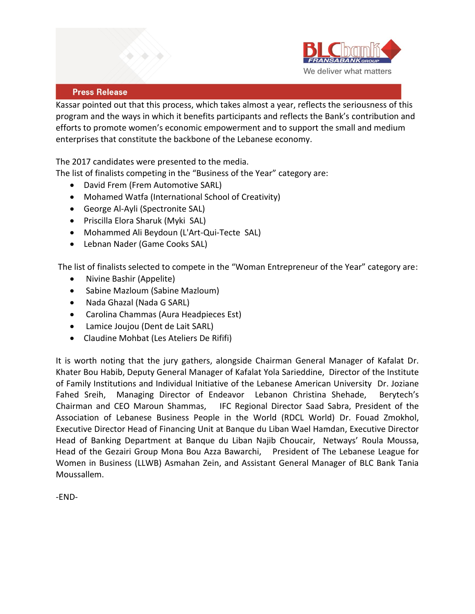

Kassar pointed out that this process, which takes almost a year, reflects the seriousness of this program and the ways in which it benefits participants and reflects the Bank's contribution and efforts to promote women's economic empowerment and to support the small and medium enterprises that constitute the backbone of the Lebanese economy.

The 2017 candidates were presented to the media.

The list of finalists competing in the "Business of the Year" category are:

- David Frem (Frem Automotive SARL)
- Mohamed Watfa (International School of Creativity)
- George Al-Ayli (Spectronite SAL)
- Priscilla Elora Sharuk (Myki SAL)
- Mohammed Ali Beydoun (L'Art-Qui-Tecte SAL)
- Lebnan Nader (Game Cooks SAL)

The list of finalists selected to compete in the "Woman Entrepreneur of the Year" category are:

- Nivine Bashir (Appelite)
- Sabine Mazloum (Sabine Mazloum)
- Nada Ghazal (Nada G SARL)
- Carolina Chammas (Aura Headpieces Est)
- Lamice Joujou (Dent de Lait SARL)
- Claudine Mohbat (Les Ateliers De Rififi)

It is worth noting that the jury gathers, alongside Chairman General Manager of Kafalat Dr. Khater Bou Habib, Deputy General Manager of Kafalat Yola Sarieddine, Director of the Institute of Family Institutions and Individual Initiative of the Lebanese American University Dr. Joziane Fahed Sreih, Managing Director of Endeavor Lebanon Christina Shehade, Berytech's Chairman and CEO Maroun Shammas, IFC Regional Director Saad Sabra, President of the Association of Lebanese Business People in the World (RDCL World) Dr. Fouad Zmokhol, Executive Director Head of Financing Unit at Banque du Liban Wael Hamdan, Executive Director Head of Banking Department at Banque du Liban Najib Choucair, Netways' Roula Moussa, Head of the Gezairi Group Mona Bou Azza Bawarchi, President of The Lebanese League for Women in Business (LLWB) Asmahan Zein, and Assistant General Manager of BLC Bank Tania Moussallem.

-END-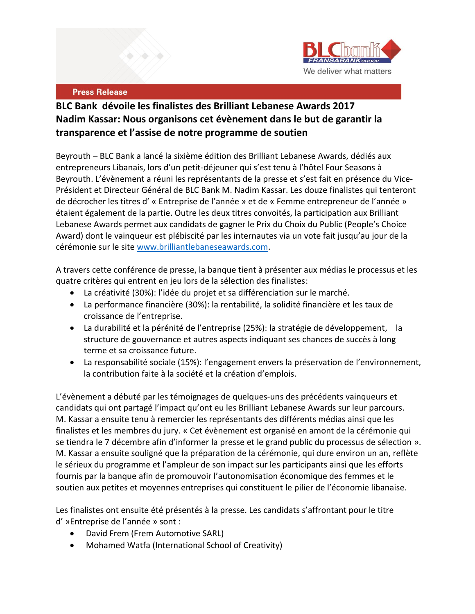

## **BLC Bank dévoile les finalistes des Brilliant Lebanese Awards 2017 Nadim Kassar: Nous organisons cet évènement dans le but de garantir la transparence et l'assise de notre programme de soutien**

Beyrouth – BLC Bank a lancé la sixième édition des Brilliant Lebanese Awards, dédiés aux entrepreneurs Libanais, lors d'un petit-déjeuner qui s'est tenu à l'hôtel Four Seasons à Beyrouth. L'évènement a réuni les représentants de la presse et s'est fait en présence du Vice-Président et Directeur Général de BLC Bank M. Nadim Kassar. Les douze finalistes qui tenteront de décrocher les titres d' « Entreprise de l'année » et de « Femme entrepreneur de l'année » étaient également de la partie. Outre les deux titres convoités, la participation aux Brilliant Lebanese Awards permet aux candidats de gagner le Prix du Choix du Public (People's Choice Award) dont le vainqueur est plébiscité par les internautes via un vote fait jusqu'au jour de la cérémonie sur le site [www.brilliantlebaneseawards.com.](http://www.brilliantlebaneseawards.com/)

A travers cette conférence de presse, la banque tient à présenter aux médias le processus et les quatre critères qui entrent en jeu lors de la sélection des finalistes:

- La créativité (30%): l'idée du projet et sa différenciation sur le marché.
- La performance financière (30%): la rentabilité, la solidité financière et les taux de croissance de l'entreprise.
- La durabilité et la pérénité de l'entreprise (25%): la stratégie de développement, la structure de gouvernance et autres aspects indiquant ses chances de succès à long terme et sa croissance future.
- La responsabilité sociale (15%): l'engagement envers la préservation de l'environnement, la contribution faite à la société et la création d'emplois.

L'évènement a débuté par les témoignages de quelques-uns des précédents vainqueurs et candidats qui ont partagé l'impact qu'ont eu les Brilliant Lebanese Awards sur leur parcours. M. Kassar a ensuite tenu à remercier les représentants des différents médias ainsi que les finalistes et les membres du jury. « Cet évènement est organisé en amont de la cérémonie qui se tiendra le 7 décembre afin d'informer la presse et le grand public du processus de sélection ». M. Kassar a ensuite souligné que la préparation de la cérémonie, qui dure environ un an, reflète le sérieux du programme et l'ampleur de son impact sur les participants ainsi que les efforts fournis par la banque afin de promouvoir l'autonomisation économique des femmes et le soutien aux petites et moyennes entreprises qui constituent le pilier de l'économie libanaise.

Les finalistes ont ensuite été présentés à la presse. Les candidats s'affrontant pour le titre d' »Entreprise de l'année » sont :

- David Frem (Frem Automotive SARL)
- Mohamed Watfa (International School of Creativity)